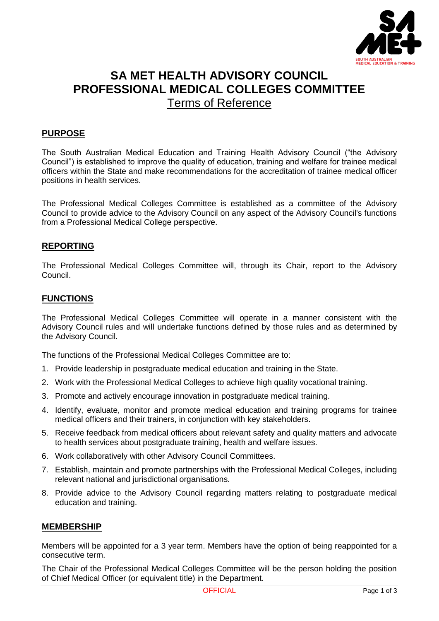

# **SA MET HEALTH ADVISORY COUNCIL PROFESSIONAL MEDICAL COLLEGES COMMITTEE** Terms of Reference

## **PURPOSE**

The South Australian Medical Education and Training Health Advisory Council ("the Advisory Council") is established to improve the quality of education, training and welfare for trainee medical officers within the State and make recommendations for the accreditation of trainee medical officer positions in health services.

The Professional Medical Colleges Committee is established as a committee of the Advisory Council to provide advice to the Advisory Council on any aspect of the Advisory Council's functions from a Professional Medical College perspective.

### **REPORTING**

The Professional Medical Colleges Committee will, through its Chair, report to the Advisory Council.

### **FUNCTIONS**

The Professional Medical Colleges Committee will operate in a manner consistent with the Advisory Council rules and will undertake functions defined by those rules and as determined by the Advisory Council.

The functions of the Professional Medical Colleges Committee are to:

- 1. Provide leadership in postgraduate medical education and training in the State.
- 2. Work with the Professional Medical Colleges to achieve high quality vocational training.
- 3. Promote and actively encourage innovation in postgraduate medical training.
- 4. Identify, evaluate, monitor and promote medical education and training programs for trainee medical officers and their trainers, in conjunction with key stakeholders.
- 5. Receive feedback from medical officers about relevant safety and quality matters and advocate to health services about postgraduate training, health and welfare issues.
- 6. Work collaboratively with other Advisory Council Committees.
- 7. Establish, maintain and promote partnerships with the Professional Medical Colleges, including relevant national and jurisdictional organisations.
- 8. Provide advice to the Advisory Council regarding matters relating to postgraduate medical education and training.

#### **MEMBERSHIP**

Members will be appointed for a 3 year term. Members have the option of being reappointed for a consecutive term.

The Chair of the Professional Medical Colleges Committee will be the person holding the position of Chief Medical Officer (or equivalent title) in the Department.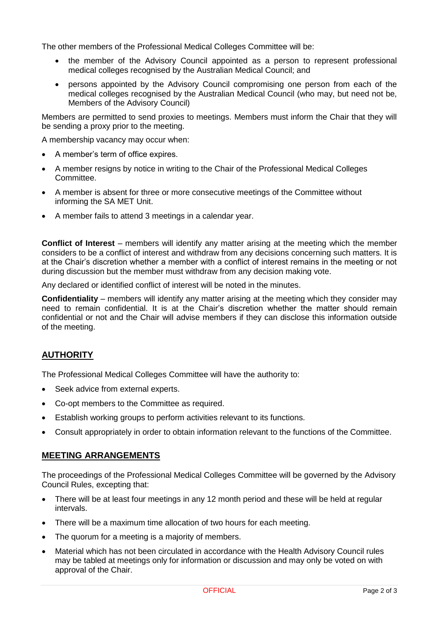The other members of the Professional Medical Colleges Committee will be:

- the member of the Advisory Council appointed as a person to represent professional medical colleges recognised by the Australian Medical Council; and
- persons appointed by the Advisory Council compromising one person from each of the medical colleges recognised by the Australian Medical Council (who may, but need not be, Members of the Advisory Council)

Members are permitted to send proxies to meetings. Members must inform the Chair that they will be sending a proxy prior to the meeting.

A membership vacancy may occur when:

- A member's term of office expires.
- A member resigns by notice in writing to the Chair of the Professional Medical Colleges Committee.
- A member is absent for three or more consecutive meetings of the Committee without informing the SA MET Unit.
- A member fails to attend 3 meetings in a calendar year.

**Conflict of Interest** – members will identify any matter arising at the meeting which the member considers to be a conflict of interest and withdraw from any decisions concerning such matters. It is at the Chair's discretion whether a member with a conflict of interest remains in the meeting or not during discussion but the member must withdraw from any decision making vote.

Any declared or identified conflict of interest will be noted in the minutes.

**Confidentiality** – members will identify any matter arising at the meeting which they consider may need to remain confidential. It is at the Chair's discretion whether the matter should remain confidential or not and the Chair will advise members if they can disclose this information outside of the meeting.

# **AUTHORITY**

The Professional Medical Colleges Committee will have the authority to:

- Seek advice from external experts.
- Co-opt members to the Committee as required.
- Establish working groups to perform activities relevant to its functions.
- Consult appropriately in order to obtain information relevant to the functions of the Committee.

### **MEETING ARRANGEMENTS**

The proceedings of the Professional Medical Colleges Committee will be governed by the Advisory Council Rules, excepting that:

- There will be at least four meetings in any 12 month period and these will be held at regular intervals.
- There will be a maximum time allocation of two hours for each meeting.
- The quorum for a meeting is a majority of members.
- Material which has not been circulated in accordance with the Health Advisory Council rules may be tabled at meetings only for information or discussion and may only be voted on with approval of the Chair.